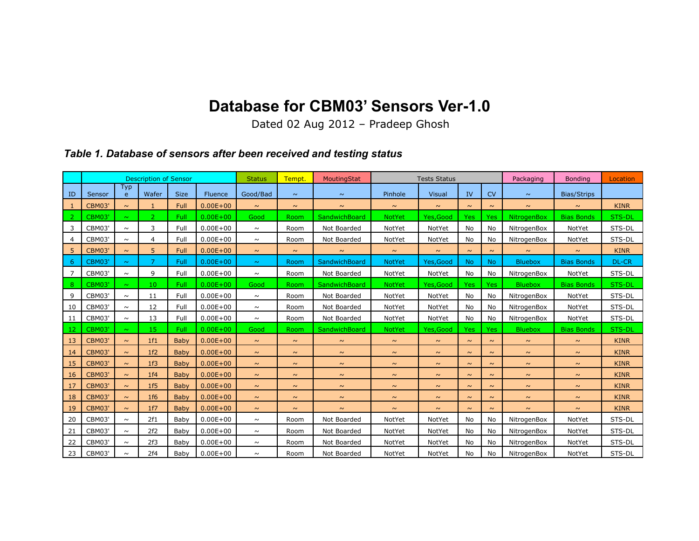## **Database for CBM03' Sensors Ver-1.0**

Dated 02 Aug 2012 – Pradeep Ghosh

## *Table 1. Database of sensors after been received and testing status*

|    | <b>Description of Sensor</b> |                     |                |             | <b>Status</b>  | Tempt.   | MoutingStat | <b>Tests Status</b> |               |               |            | Packaging | <b>Bonding</b>     | Location           |              |
|----|------------------------------|---------------------|----------------|-------------|----------------|----------|-------------|---------------------|---------------|---------------|------------|-----------|--------------------|--------------------|--------------|
| ID | Sensor                       | Typ<br>$\mathsf{e}$ | Wafer          | <b>Size</b> | <b>Fluence</b> | Good/Bad | $\sim$      | $\sim$              | Pinhole       | <b>Visual</b> | IV         | <b>CV</b> | $\sim$             | <b>Bias/Strips</b> |              |
| 1  | <b>CBM03</b>                 | $\sim$              | $\mathbf{1}$   | Full        | $0.00E + 00$   | $\sim$   | $\sim$      | $\sim$              | $\sim$        | $\sim$        | $\sim$     | $\sim$    | $\sim$             | $\sim$             | <b>KINR</b>  |
| 2  | <b>CBM03</b>                 | $\sim$              | $\overline{2}$ | Full        | $0.00E + 00$   | Good     | Room        | SandwichBoard       | <b>NotYet</b> | Yes, Good     | <b>Yes</b> | Yes       | <b>NitrogenBox</b> | <b>Bias Bonds</b>  | STS-DL       |
| 3  | CBM03'                       | $\sim$              | 3              | Full        | $0.00E + 00$   | $\sim$   | Room        | Not Boarded         | NotYet        | NotYet        | No.        | No        | NitrogenBox        | NotYet             | STS-DL       |
| 4  | CBM03'                       | $\sim$              | 4              | Full        | $0.00E + 00$   | $\sim$   | Room        | Not Boarded         | NotYet        | NotYet        | <b>No</b>  | No        | NitrogenBox        | NotYet             | STS-DL       |
| 5  | <b>CBM03'</b>                | $\sim$              | 5              | Full        | $0.00E + 00$   | $\sim$   | $\sim$      | $\sim$              | $\sim$        | $\sim$        | $\sim$     | $\sim$    | $\sim$             | $\sim$             | <b>KINR</b>  |
| -6 | <b>CBM03'</b>                | $\sim$              | $\overline{7}$ | Full        | $0.00E + 00$   | $\sim$   | Room        | SandwichBoard       | <b>NotYet</b> | Yes, Good     | <b>No</b>  | <b>No</b> | <b>Bluebox</b>     | <b>Bias Bonds</b>  | <b>DL-CR</b> |
| 7  | CBM03'                       | $\sim$              | 9              | Full        | $0.00E + 00$   | $\sim$   | Room        | Not Boarded         | NotYet        | NotYet        | No         | No        | NitrogenBox        | NotYet             | STS-DL       |
| 8  | <b>CBM03</b>                 | $\sim$              | 10             | Full        | $0.00E + 00$   | Good     | Room        | SandwichBoard       | <b>NotYet</b> | Yes, Good     | <b>Yes</b> | Yes       | <b>Bluebox</b>     | <b>Bias Bonds</b>  | STS-DL       |
| 9  | CBM03'                       | $\sim$              | 11             | Full        | $0.00E + 00$   | $\sim$   | Room        | Not Boarded         | NotYet        | NotYet        | No         | No        | NitrogenBox        | NotYet             | STS-DL       |
| 10 | CBM03'                       | $\sim$              | 12             | Full        | $0.00E + 00$   | $\sim$   | Room        | Not Boarded         | NotYet        | NotYet        | No         | No        | NitrogenBox        | NotYet             | STS-DL       |
| 11 | CBM03'                       | $\sim$              | 13             | Full        | $0.00E + 00$   | $\sim$   | Room        | Not Boarded         | NotYet        | NotYet        | <b>No</b>  | No        | NitrogenBox        | NotYet             | STS-DL       |
| 12 | CBM03                        | $\sim$              | 15             | Full        | $0.00E + 00$   | Good     | Room        | SandwichBoard       | <b>NotYet</b> | Yes, Good     | <b>Yes</b> | Yes       | <b>Bluebox</b>     | <b>Bias Bonds</b>  | STS-DL       |
| 13 | <b>CBM03</b>                 | $\sim$              | 1f1            | Baby        | $0.00E + 00$   | $\sim$   | $\sim$      | $\sim$              | $\sim$        | $\sim$        | $\sim$     | $\sim$    | $\sim$             | $\sim$             | <b>KINR</b>  |
| 14 | <b>CBM03</b>                 | $\sim$              | 1f2            | Baby        | $0.00E + 00$   | $\sim$   | $\sim$      | $\sim$              | $\sim$        | $\sim$        | $\sim$     | $\sim$    | $\sim$             | $\sim$             | <b>KINR</b>  |
| 15 | <b>CBM03'</b>                | $\sim$              | 1f3            | Baby        | $0.00E + 00$   | $\sim$   | $\sim$      | $\sim$              | $\sim$        | $\sim$        | $\sim$     | $\sim$    | $\sim$             | $\sim$             | <b>KINR</b>  |
| 16 | <b>CBM03'</b>                | $\sim$              | 1f4            | Baby        | $0.00E + 00$   | $\sim$   | $\sim$      | $\sim$              | $\sim$        | $\sim$        | $\sim$     | $\sim$    | $\sim$             | $\sim$             | <b>KINR</b>  |
| 17 | <b>CBM03'</b>                | $\sim$              | 1f5            | Baby        | $0.00E + 00$   | $\sim$   | $\sim$      | $\sim$              | $\sim$        | $\sim$        | $\sim$     | $\sim$    | $\sim$             | $\sim$             | <b>KINR</b>  |
| 18 | <b>CBM03'</b>                | $\sim$              | 1f6            | Baby        | $0.00E + 00$   | $\sim$   | $\sim$      | $\sim$              | $\sim$        | $\sim$        | $\sim$     | $\sim$    | $\sim$             | $\sim$             | <b>KINR</b>  |
| 19 | <b>CBM03'</b>                | $\sim$              | 1f7            | Baby        | $0.00E + 00$   | $\sim$   | $\sim$      | $\sim$              | $\sim$        | $\sim$        | $\sim$     | $\sim$    | $\sim$             | $\sim$             | <b>KINR</b>  |
| 20 | CBM03'                       | $\sim$              | 2f1            | Baby        | $0.00E + 00$   | $\sim$   | Room        | Not Boarded         | NotYet        | NotYet        | No         | No        | NitrogenBox        | NotYet             | STS-DL       |
| 21 | CBM03'                       | $\sim$              | 2f2            | Baby        | $0.00E + 00$   | $\sim$   | Room        | Not Boarded         | NotYet        | NotYet        | No         | No        | NitrogenBox        | NotYet             | STS-DL       |
| 22 | CBM03'                       | $\sim$              | 2f3            | Baby        | $0.00E + 00$   | $\sim$   | Room        | Not Boarded         | NotYet        | NotYet        | No         | No        | NitrogenBox        | NotYet             | STS-DL       |
| 23 | CBM03'                       | $\sim$              | 2f4            | Baby        | $0.00E + 00$   | $\sim$   | Room        | Not Boarded         | NotYet        | NotYet        | No         | No        | NitrogenBox        | NotYet             | STS-DL       |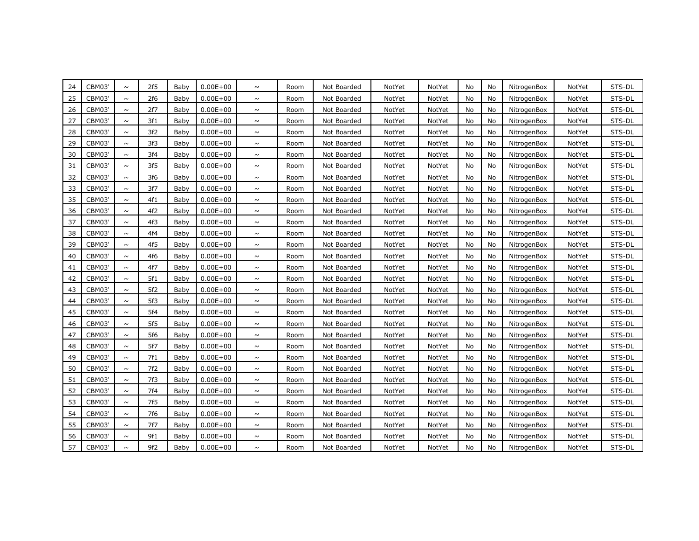| 24 | CBM03         | $\sim$ | 2f5 | Baby | $0.00E + 00$ | $\sim$ | Room | Not Boarded | NotYet | NotYet | No | No | NitrogenBox | NotYet | STS-DL |
|----|---------------|--------|-----|------|--------------|--------|------|-------------|--------|--------|----|----|-------------|--------|--------|
| 25 | <b>CBM03'</b> | $\sim$ | 2f6 | Baby | $0.00E + 00$ | $\sim$ | Room | Not Boarded | NotYet | NotYet | No | No | NitrogenBox | NotYet | STS-DL |
| 26 | <b>CBM03'</b> | $\sim$ | 2f7 | Baby | $0.00E + 00$ | $\sim$ | Room | Not Boarded | NotYet | NotYet | No | No | NitrogenBox | NotYet | STS-DL |
| 27 | <b>CBM03'</b> | $\sim$ | 3f1 | Baby | $0.00E + 00$ | $\sim$ | Room | Not Boarded | NotYet | NotYet | No | No | NitrogenBox | NotYet | STS-DL |
| 28 | <b>CBM03'</b> | $\sim$ | 3f2 | Baby | $0.00E + 00$ | $\sim$ | Room | Not Boarded | NotYet | NotYet | No | No | NitrogenBox | NotYet | STS-DL |
| 29 | CBM03         | $\sim$ | 3f3 | Baby | $0.00E + 00$ | $\sim$ | Room | Not Boarded | NotYet | NotYet | No | No | NitrogenBox | NotYet | STS-DL |
| 30 | <b>CBM03'</b> | $\sim$ | 3f4 | Baby | $0.00E + 00$ | $\sim$ | Room | Not Boarded | NotYet | NotYet | No | No | NitrogenBox | NotYet | STS-DL |
| 31 | <b>CBM03'</b> | $\sim$ | 3f5 | Baby | $0.00E + 00$ | $\sim$ | Room | Not Boarded | NotYet | NotYet | No | No | NitrogenBox | NotYet | STS-DL |
| 32 | CBM03         | $\sim$ | 3f6 | Baby | $0.00E + 00$ | $\sim$ | Room | Not Boarded | NotYet | NotYet | No | No | NitrogenBox | NotYet | STS-DL |
| 33 | <b>CBM03'</b> | $\sim$ | 3f7 | Baby | $0.00E + 00$ | $\sim$ | Room | Not Boarded | NotYet | NotYet | No | No | NitrogenBox | NotYet | STS-DL |
| 35 | CBM03'        | $\sim$ | 4f1 | Baby | $0.00E + 00$ | $\sim$ | Room | Not Boarded | NotYet | NotYet | No | No | NitrogenBox | NotYet | STS-DL |
| 36 | <b>CBM03'</b> | $\sim$ | 4f2 | Baby | $0.00E + 00$ | $\sim$ | Room | Not Boarded | NotYet | NotYet | No | No | NitrogenBox | NotYet | STS-DL |
| 37 | <b>CBM03'</b> | $\sim$ | 4f3 | Baby | $0.00E + 00$ | $\sim$ | Room | Not Boarded | NotYet | NotYet | No | No | NitrogenBox | NotYet | STS-DL |
| 38 | <b>CBM03'</b> | $\sim$ | 4f4 | Baby | $0.00E + 00$ | $\sim$ | Room | Not Boarded | NotYet | NotYet | No | No | NitrogenBox | NotYet | STS-DL |
| 39 | CBM03'        | $\sim$ | 4f5 | Baby | $0.00E + 00$ | $\sim$ | Room | Not Boarded | NotYet | NotYet | No | No | NitrogenBox | NotYet | STS-DL |
| 40 | <b>CBM03'</b> | $\sim$ | 4f6 | Baby | $0.00E + 00$ | $\sim$ | Room | Not Boarded | NotYet | NotYet | No | No | NitrogenBox | NotYet | STS-DL |
| 41 | CBM03'        | $\sim$ | 4f7 | Baby | $0.00E + 00$ | $\sim$ | Room | Not Boarded | NotYet | NotYet | No | No | NitrogenBox | NotYet | STS-DL |
| 42 | CBM03         | $\sim$ | 5f1 | Baby | $0.00E + 00$ | $\sim$ | Room | Not Boarded | NotYet | NotYet | No | No | NitrogenBox | NotYet | STS-DL |
| 43 | <b>CBM03'</b> | $\sim$ | 5f2 | Baby | $0.00E + 00$ | $\sim$ | Room | Not Boarded | NotYet | NotYet | No | No | NitrogenBox | NotYet | STS-DL |
| 44 | <b>CBM03'</b> | $\sim$ | 5f3 | Baby | $0.00E + 00$ | $\sim$ | Room | Not Boarded | NotYet | NotYet | No | No | NitrogenBox | NotYet | STS-DL |
| 45 | CBM03'        | $\sim$ | 5f4 | Baby | $0.00E + 00$ | $\sim$ | Room | Not Boarded | NotYet | NotYet | No | No | NitrogenBox | NotYet | STS-DL |
| 46 | <b>CBM03'</b> | $\sim$ | 5f5 | Baby | $0.00E + 00$ | $\sim$ | Room | Not Boarded | NotYet | NotYet | No | No | NitrogenBox | NotYet | STS-DL |
| 47 | <b>CBM03'</b> | $\sim$ | 5f6 | Baby | $0.00E + 00$ | $\sim$ | Room | Not Boarded | NotYet | NotYet | No | No | NitrogenBox | NotYet | STS-DL |
| 48 | <b>CBM03'</b> | $\sim$ | 5f7 | Baby | $0.00E + 00$ | $\sim$ | Room | Not Boarded | NotYet | NotYet | No | No | NitrogenBox | NotYet | STS-DL |
| 49 | <b>CBM03'</b> | $\sim$ | 7f1 | Baby | $0.00E + 00$ | $\sim$ | Room | Not Boarded | NotYet | NotYet | No | No | NitrogenBox | NotYet | STS-DL |
| 50 | <b>CBM03'</b> | $\sim$ | 7f2 | Baby | $0.00E + 00$ | $\sim$ | Room | Not Boarded | NotYet | NotYet | No | No | NitrogenBox | NotYet | STS-DL |
| 51 | <b>CBM03'</b> | $\sim$ | 7f3 | Baby | $0.00E + 00$ | $\sim$ | Room | Not Boarded | NotYet | NotYet | No | No | NitrogenBox | NotYet | STS-DL |
| 52 | CBM03         | $\sim$ | 7f4 | Baby | $0.00E + 00$ | $\sim$ | Room | Not Boarded | NotYet | NotYet | No | No | NitrogenBox | NotYet | STS-DL |
| 53 | CBM03         | $\sim$ | 7f5 | Baby | $0.00E + 00$ | $\sim$ | Room | Not Boarded | NotYet | NotYet | No | No | NitrogenBox | NotYet | STS-DL |
| 54 | <b>CBM03'</b> | $\sim$ | 7f6 | Baby | $0.00E + 00$ | $\sim$ | Room | Not Boarded | NotYet | NotYet | No | No | NitrogenBox | NotYet | STS-DL |
| 55 | <b>CBM03'</b> | $\sim$ | 7f7 | Baby | $0.00E + 00$ | $\sim$ | Room | Not Boarded | NotYet | NotYet | No | No | NitrogenBox | NotYet | STS-DL |
| 56 | <b>CBM03'</b> | $\sim$ | 9f1 | Baby | $0.00E + 00$ | $\sim$ | Room | Not Boarded | NotYet | NotYet | No | No | NitrogenBox | NotYet | STS-DL |
| 57 | <b>CBM03'</b> | $\sim$ | 9f2 | Baby | $0.00E + 00$ | $\sim$ | Room | Not Boarded | NotYet | NotYet | No | No | NitrogenBox | NotYet | STS-DL |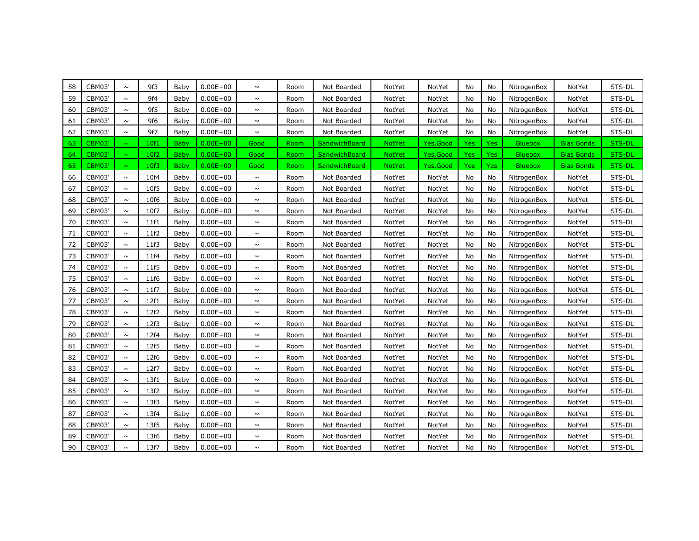| 58 | <b>CBM03'</b> | $\sim$ | 9f3  | Baby        | $0.00E + 00$ | $\sim$ | Room | Not Boarded          | NotYet        | NotYet    | No         | No               | NitrogenBox    | NotYet            | STS-DL |
|----|---------------|--------|------|-------------|--------------|--------|------|----------------------|---------------|-----------|------------|------------------|----------------|-------------------|--------|
| 59 | CBM03'        | $\sim$ | 9f4  | Baby        | $0.00E + 00$ | $\sim$ | Room | Not Boarded          | NotYet        | NotYet    | No         | No               | NitrogenBox    | NotYet            | STS-DL |
| 60 | CBM03'        | $\sim$ | 9f5  | Baby        | $0.00E + 00$ | $\sim$ | Room | Not Boarded          | NotYet        | NotYet    | No         | No               | NitrogenBox    | NotYet            | STS-DL |
| 61 | CBM03'        | $\sim$ | 9f6  | Baby        | $0.00E + 00$ | $\sim$ | Room | Not Boarded          | NotYet        | NotYet    | No         | No               | NitrogenBox    | NotYet            | STS-DL |
| 62 | CBM03'        | $\sim$ | 9f7  | Baby        | $0.00E + 00$ | $\sim$ | Room | Not Boarded          | NotYet        | NotYet    | No         | No               | NitrogenBox    | NotYet            | STS-DL |
| 63 | <b>CBM03</b>  | $\sim$ | 10f1 | Baby        | $0.00E + 00$ | Good   | Room | SandwichBoard        | <b>NotYet</b> | Yes, Good | <b>Yes</b> | <b>Yes</b>       | <b>Bluebox</b> | <b>Bias Bonds</b> | STS-DL |
| 64 | <b>CBM03'</b> | $\sim$ | 10f2 | Baby        | $0.00E + 00$ | Good   | Room | <b>SandwichBoard</b> | NotYet        | Yes, Good | Yes        | Yes <sup></sup>  | <b>Bluebox</b> | <b>Bias Bonds</b> | STS-DL |
| 65 | CBM03'        | $\sim$ | 10f3 | <b>Baby</b> | $0.00E + 00$ | Good   | Room | <b>SandwichBoard</b> | <b>NotYet</b> | Yes,Good  | Yes        | Yes <sub>1</sub> | <b>Bluebox</b> | <b>Bias Bonds</b> | STS-DL |
| 66 | CBM03'        | $\sim$ | 10f4 | Baby        | $0.00E + 00$ | $\sim$ | Room | Not Boarded          | NotYet        | NotYet    | No         | No               | NitrogenBox    | NotYet            | STS-DL |
| 67 | CBM03'        | $\sim$ | 10f5 | Baby        | $0.00E + 00$ | $\sim$ | Room | Not Boarded          | NotYet        | NotYet    | No         | No               | NitrogenBox    | NotYet            | STS-DL |
| 68 | <b>CBM03'</b> | $\sim$ | 10f6 | Baby        | $0.00E + 00$ | $\sim$ | Room | Not Boarded          | NotYet        | NotYet    | No         | No               | NitrogenBox    | NotYet            | STS-DL |
| 69 | CBM03'        | $\sim$ | 10f7 | Baby        | $0.00E + 00$ | $\sim$ | Room | Not Boarded          | NotYet        | NotYet    | No         | No               | NitrogenBox    | NotYet            | STS-DL |
| 70 | CBM03'        | $\sim$ | 11f1 | Baby        | $0.00E + 00$ | $\sim$ | Room | Not Boarded          | NotYet        | NotYet    | No         | No               | NitrogenBox    | NotYet            | STS-DL |
| 71 | CBM03'        | $\sim$ | 11f2 | Baby        | $0.00E + 00$ | $\sim$ | Room | Not Boarded          | NotYet        | NotYet    | No         | No               | NitrogenBox    | NotYet            | STS-DL |
| 72 | <b>CBM03'</b> | $\sim$ | 11f3 | Baby        | $0.00E + 00$ | $\sim$ | Room | Not Boarded          | NotYet        | NotYet    | No         | No               | NitrogenBox    | NotYet            | STS-DL |
| 73 | <b>CBM03'</b> | $\sim$ | 11f4 | Baby        | $0.00E + 00$ | $\sim$ | Room | Not Boarded          | NotYet        | NotYet    | No         | No               | NitrogenBox    | NotYet            | STS-DL |
| 74 | <b>CBM03'</b> | $\sim$ | 11f5 | Baby        | $0.00E + 00$ | $\sim$ | Room | Not Boarded          | NotYet        | NotYet    | No         | No               | NitrogenBox    | NotYet            | STS-DL |
| 75 | CBM03'        | $\sim$ | 11f6 | Baby        | $0.00E + 00$ | $\sim$ | Room | Not Boarded          | NotYet        | NotYet    | No         | No               | NitrogenBox    | NotYet            | STS-DL |
| 76 | <b>CBM03'</b> | $\sim$ | 11f7 | Baby        | $0.00E + 00$ | $\sim$ | Room | Not Boarded          | NotYet        | NotYet    | No         | No               | NitrogenBox    | NotYet            | STS-DL |
| 77 | <b>CBM03'</b> | $\sim$ | 12f1 | Baby        | $0.00E + 00$ | $\sim$ | Room | Not Boarded          | NotYet        | NotYet    | No         | No               | NitrogenBox    | NotYet            | STS-DL |
| 78 | <b>CBM03'</b> | $\sim$ | 12f2 | Baby        | $0.00E + 00$ | $\sim$ | Room | Not Boarded          | NotYet        | NotYet    | No         | No               | NitrogenBox    | NotYet            | STS-DL |
| 79 | CBM03'        | $\sim$ | 12f3 | Baby        | $0.00E + 00$ | $\sim$ | Room | Not Boarded          | NotYet        | NotYet    | No         | No               | NitrogenBox    | NotYet            | STS-DL |
| 80 | CBM03'        | $\sim$ | 12f4 | Baby        | $0.00E + 00$ | $\sim$ | Room | Not Boarded          | NotYet        | NotYet    | No         | No               | NitrogenBox    | NotYet            | STS-DL |
| 81 | CBM03'        | $\sim$ | 12f5 | Baby        | $0.00E + 00$ | $\sim$ | Room | Not Boarded          | NotYet        | NotYet    | No         | No               | NitrogenBox    | NotYet            | STS-DL |
| 82 | CBM03'        | $\sim$ | 12f6 | Baby        | $0.00E + 00$ | $\sim$ | Room | Not Boarded          | NotYet        | NotYet    | No         | No               | NitrogenBox    | NotYet            | STS-DL |
| 83 | CBM03'        | $\sim$ | 12f7 | Baby        | $0.00E + 00$ | $\sim$ | Room | Not Boarded          | NotYet        | NotYet    | No         | No               | NitrogenBox    | NotYet            | STS-DL |
| 84 | CBM03'        | $\sim$ | 13f1 | Baby        | $0.00E + 00$ | $\sim$ | Room | Not Boarded          | NotYet        | NotYet    | No         | No               | NitrogenBox    | NotYet            | STS-DL |
| 85 | <b>CBM03'</b> | $\sim$ | 13f2 | Baby        | $0.00E + 00$ | $\sim$ | Room | Not Boarded          | NotYet        | NotYet    | No         | No               | NitrogenBox    | NotYet            | STS-DL |
| 86 | CBM03'        | $\sim$ | 13f3 | Baby        | $0.00E + 00$ | $\sim$ | Room | Not Boarded          | NotYet        | NotYet    | No         | No               | NitrogenBox    | NotYet            | STS-DL |
| 87 | CBM03'        | $\sim$ | 13f4 | Baby        | $0.00E + 00$ | $\sim$ | Room | Not Boarded          | NotYet        | NotYet    | No         | No               | NitrogenBox    | NotYet            | STS-DL |
| 88 | CBM03'        | $\sim$ | 13f5 | Baby        | $0.00E + 00$ | $\sim$ | Room | Not Boarded          | NotYet        | NotYet    | No         | No               | NitrogenBox    | NotYet            | STS-DL |
| 89 | <b>CBM03'</b> | $\sim$ | 13f6 | Baby        | $0.00E + 00$ | $\sim$ | Room | Not Boarded          | NotYet        | NotYet    | No         | No               | NitrogenBox    | NotYet            | STS-DL |
| 90 | <b>CBM03'</b> | $\sim$ | 13f7 | Baby        | $0.00E + 00$ | $\sim$ | Room | Not Boarded          | NotYet        | NotYet    | No         | No               | NitrogenBox    | NotYet            | STS-DL |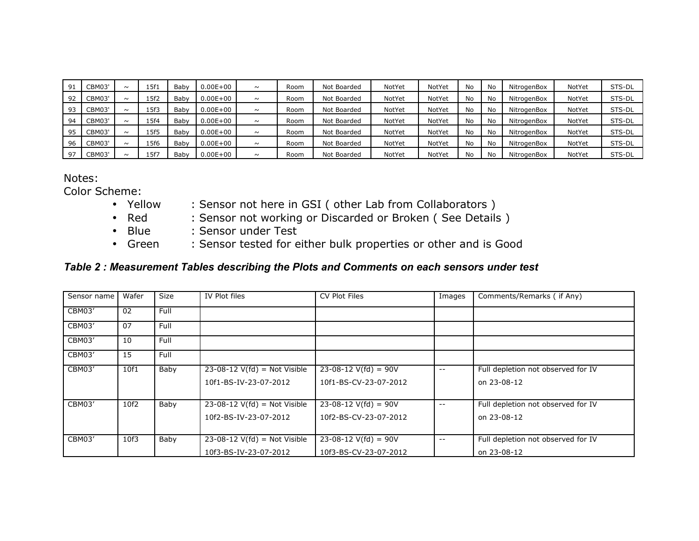| 91 | <b>CBM03'</b> | $\sim$ | 15f1 | Baby | $0.00E + 00$ | $\sim$ | Room | Not Boarded | NotYet | NotYet | No | No        | NitrogenBox | NotYet | STS-DL |
|----|---------------|--------|------|------|--------------|--------|------|-------------|--------|--------|----|-----------|-------------|--------|--------|
| 92 | <b>CBM03'</b> | $\sim$ | 15f2 | Baby | $0.00E + 00$ | $\sim$ | Room | Not Boarded | NotYet | NotYet | No | No        | NitrogenBox | NotYet | STS-DL |
| 93 | <b>CBM03'</b> | $\sim$ | .5f3 | Baby | $0.00E + 00$ | $\sim$ | Room | Not Boarded | NotYet | NotYet | No | No        | NitrogenBox | NotYet | STS-DL |
| 94 | <b>CBM03'</b> | $\sim$ | 15f4 | Baby | $0.00E + 00$ | $\sim$ | Room | Not Boarded | NotYet | NotYet | No | No        | NitrogenBox | NotYet | STS-DL |
| 95 | <b>CBM03'</b> | $\sim$ | 15f5 | Baby | $0.00E + 00$ | $\sim$ | Room | Not Boarded | NotYet | NotYet | No | No        | NitrogenBox | NotYet | STS-DL |
| 96 | <b>CBM03'</b> | $\sim$ | 15f6 | Baby | $0.00E + 00$ | $\sim$ | Room | Not Boarded | NotYet | NotYet | No | No        | NitrogenBox | NotYet | STS-DL |
| 97 | <b>CBM03'</b> | $\sim$ | .5f7 | Babv | $0.00E + 00$ | $\sim$ | Room | Not Boarded | NotYet | NotYet | No | <b>No</b> | NitrogenBox | NotYet | STS-DL |

Notes:

Color Scheme:

- Yellow : Sensor not here in GSI ( other Lab from Collaborators )
- Red : Sensor not working or Discarded or Broken (See Details)
- Blue : Sensor under Test
- Green : Sensor tested for either bulk properties or other and is Good

## *Table 2 : Measurement Tables describing the Plots and Comments on each sensors under test*

| Sensor name | Wafer | <b>Size</b> | IV Plot files                  | CV Plot Files          | Images                   | Comments/Remarks ( if Any)         |
|-------------|-------|-------------|--------------------------------|------------------------|--------------------------|------------------------------------|
| CBM03'      | 02    | Full        |                                |                        |                          |                                    |
| CBM03'      | 07    | Full        |                                |                        |                          |                                    |
| CBM03'      | 10    | Full        |                                |                        |                          |                                    |
| CBM03'      | 15    | Full        |                                |                        |                          |                                    |
| CBM03'      | 10f1  | Baby        | $23-08-12$ V(fd) = Not Visible | $23-08-12$ V(fd) = 90V | $\sim$ $\sim$            | Full depletion not observed for IV |
|             |       |             | 10f1-BS-IV-23-07-2012          | 10f1-BS-CV-23-07-2012  |                          | on 23-08-12                        |
| CBM03'      | 10f2  | Baby        | $23-08-12$ V(fd) = Not Visible | $23-08-12$ V(fd) = 90V | $\overline{\phantom{m}}$ | Full depletion not observed for IV |
|             |       |             |                                |                        |                          |                                    |
|             |       |             | 10f2-BS-IV-23-07-2012          | 10f2-BS-CV-23-07-2012  |                          | on 23-08-12                        |
| CBM03'      | 10f3  | Baby        | $23-08-12$ V(fd) = Not Visible | $23-08-12$ V(fd) = 90V | $\overline{\phantom{m}}$ | Full depletion not observed for IV |
|             |       |             |                                |                        |                          |                                    |
|             |       |             | 10f3-BS-IV-23-07-2012          | 10f3-BS-CV-23-07-2012  |                          | on 23-08-12                        |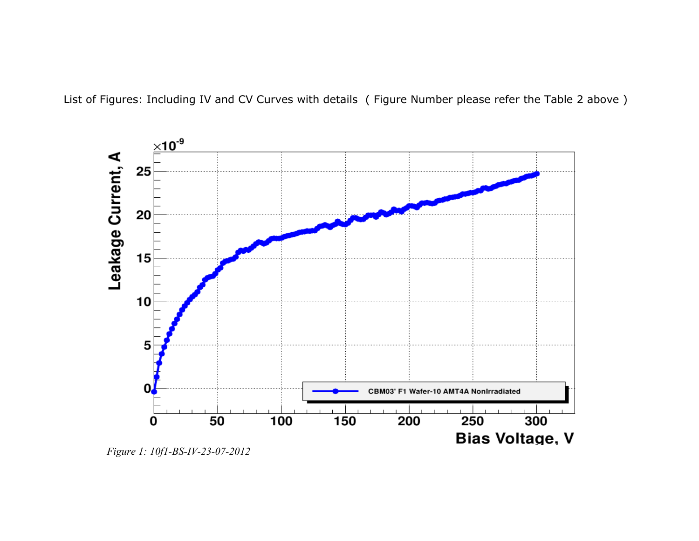List of Figures: Including IV and CV Curves with details ( Figure Number please refer the Table 2 above )



*Figure 1: 10f1-BS-IV-23-07-2012*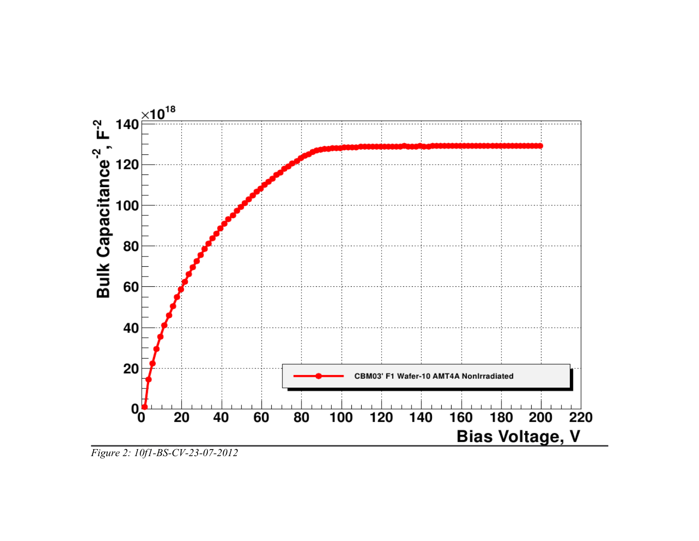

*Figure 2: 10f1-BS-CV-23-07-2012*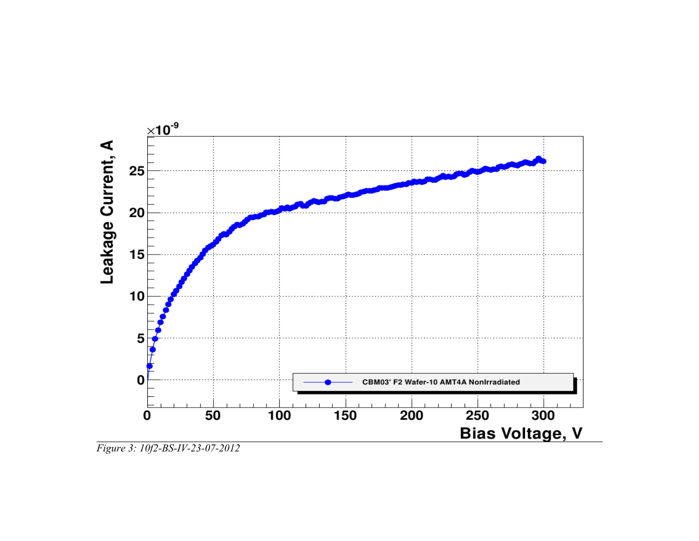

*Figure 3: 10f2-BS-IV-23-07-2012*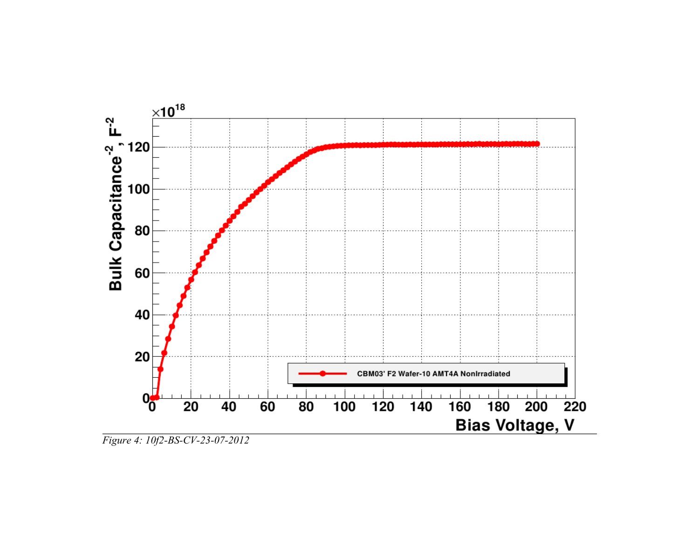

*Figure 4: 10f2-BS-CV-23-07-2012*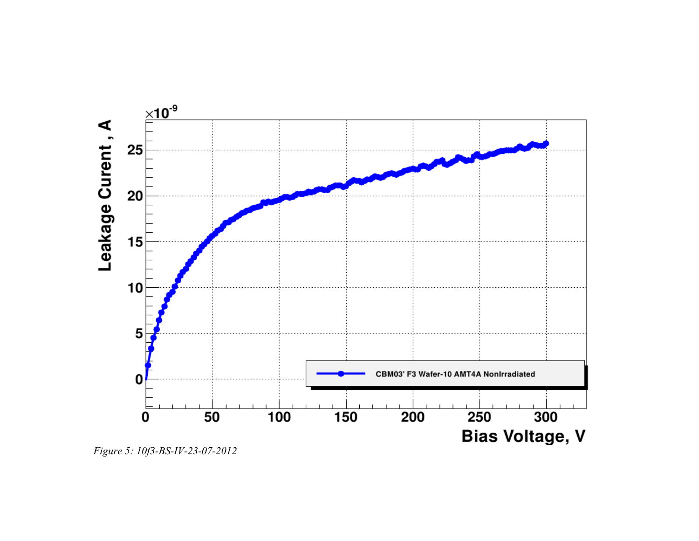

Figure 5: 10f3-BS-IV-23-07-2012